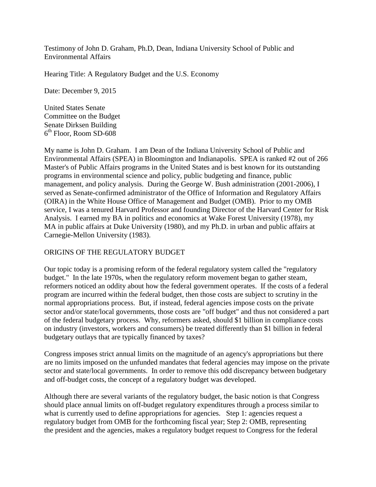Testimony of John D. Graham, Ph.D, Dean, Indiana University School of Public and Environmental Affairs

Hearing Title: A Regulatory Budget and the U.S. Economy

Date: December 9, 2015

United States Senate Committee on the Budget Senate Dirksen Building  $6<sup>th</sup>$  Floor, Room SD-608

My name is John D. Graham. I am Dean of the Indiana University School of Public and Environmental Affairs (SPEA) in Bloomington and Indianapolis. SPEA is ranked #2 out of 266 Master's of Public Affairs programs in the United States and is best known for its outstanding programs in environmental science and policy, public budgeting and finance, public management, and policy analysis. During the George W. Bush administration (2001-2006), I served as Senate-confirmed administrator of the Office of Information and Regulatory Affairs (OIRA) in the White House Office of Management and Budget (OMB). Prior to my OMB service, I was a tenured Harvard Professor and founding Director of the Harvard Center for Risk Analysis. I earned my BA in politics and economics at Wake Forest University (1978), my MA in public affairs at Duke University (1980), and my Ph.D. in urban and public affairs at Carnegie-Mellon University (1983).

#### ORIGINS OF THE REGULATORY BUDGET

Our topic today is a promising reform of the federal regulatory system called the "regulatory budget." In the late 1970s, when the regulatory reform movement began to gather steam, reformers noticed an oddity about how the federal government operates. If the costs of a federal program are incurred within the federal budget, then those costs are subject to scrutiny in the normal appropriations process. But, if instead, federal agencies impose costs on the private sector and/or state/local governments, those costs are "off budget" and thus not considered a part of the federal budgetary process. Why, reformers asked, should \$1 billion in compliance costs on industry (investors, workers and consumers) be treated differently than \$1 billion in federal budgetary outlays that are typically financed by taxes?

Congress imposes strict annual limits on the magnitude of an agency's appropriations but there are no limits imposed on the unfunded mandates that federal agencies may impose on the private sector and state/local governments. In order to remove this odd discrepancy between budgetary and off-budget costs, the concept of a regulatory budget was developed.

Although there are several variants of the regulatory budget, the basic notion is that Congress should place annual limits on off-budget regulatory expenditures through a process similar to what is currently used to define appropriations for agencies. Step 1: agencies request a regulatory budget from OMB for the forthcoming fiscal year; Step 2: OMB, representing the president and the agencies, makes a regulatory budget request to Congress for the federal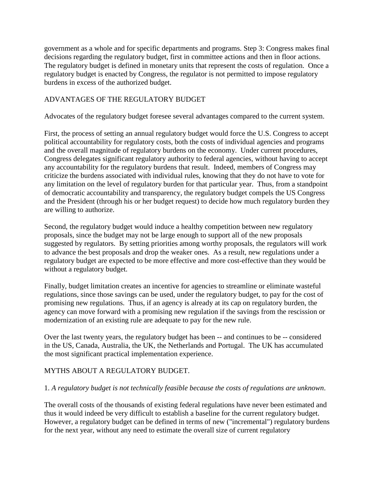government as a whole and for specific departments and programs. Step 3: Congress makes final decisions regarding the regulatory budget, first in committee actions and then in floor actions. The regulatory budget is defined in monetary units that represent the costs of regulation. Once a regulatory budget is enacted by Congress, the regulator is not permitted to impose regulatory burdens in excess of the authorized budget.

### ADVANTAGES OF THE REGULATORY BUDGET

Advocates of the regulatory budget foresee several advantages compared to the current system.

First, the process of setting an annual regulatory budget would force the U.S. Congress to accept political accountability for regulatory costs, both the costs of individual agencies and programs and the overall magnitude of regulatory burdens on the economy. Under current procedures, Congress delegates significant regulatory authority to federal agencies, without having to accept any accountability for the regulatory burdens that result. Indeed, members of Congress may criticize the burdens associated with individual rules, knowing that they do not have to vote for any limitation on the level of regulatory burden for that particular year. Thus, from a standpoint of democratic accountability and transparency, the regulatory budget compels the US Congress and the President (through his or her budget request) to decide how much regulatory burden they are willing to authorize.

Second, the regulatory budget would induce a healthy competition between new regulatory proposals, since the budget may not be large enough to support all of the new proposals suggested by regulators. By setting priorities among worthy proposals, the regulators will work to advance the best proposals and drop the weaker ones. As a result, new regulations under a regulatory budget are expected to be more effective and more cost-effective than they would be without a regulatory budget.

Finally, budget limitation creates an incentive for agencies to streamline or eliminate wasteful regulations, since those savings can be used, under the regulatory budget, to pay for the cost of promising new regulations. Thus, if an agency is already at its cap on regulatory burden, the agency can move forward with a promising new regulation if the savings from the rescission or modernization of an existing rule are adequate to pay for the new rule.

Over the last twenty years, the regulatory budget has been -- and continues to be -- considered in the US, Canada, Australia, the UK, the Netherlands and Portugal. The UK has accumulated the most significant practical implementation experience.

# MYTHS ABOUT A REGULATORY BUDGET.

### 1. *A regulatory budget is not technically feasible because the costs of regulations are unknown*.

The overall costs of the thousands of existing federal regulations have never been estimated and thus it would indeed be very difficult to establish a baseline for the current regulatory budget. However, a regulatory budget can be defined in terms of new ("incremental") regulatory burdens for the next year, without any need to estimate the overall size of current regulatory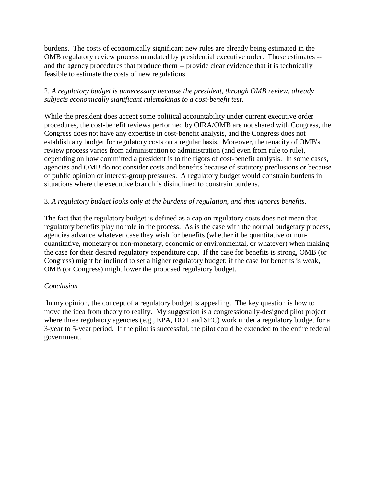burdens. The costs of economically significant new rules are already being estimated in the OMB regulatory review process mandated by presidential executive order. Those estimates - and the agency procedures that produce them -- provide clear evidence that it is technically feasible to estimate the costs of new regulations.

## 2. *A regulatory budget is unnecessary because the president, through OMB review, already subjects economically significant rulemakings to a cost-benefit test*.

While the president does accept some political accountability under current executive order procedures, the cost-benefit reviews performed by OIRA/OMB are not shared with Congress, the Congress does not have any expertise in cost-benefit analysis, and the Congress does not establish any budget for regulatory costs on a regular basis. Moreover, the tenacity of OMB's review process varies from administration to administration (and even from rule to rule), depending on how committed a president is to the rigors of cost-benefit analysis. In some cases, agencies and OMB do not consider costs and benefits because of statutory preclusions or because of public opinion or interest-group pressures. A regulatory budget would constrain burdens in situations where the executive branch is disinclined to constrain burdens.

### 3. *A regulatory budget looks only at the burdens of regulation, and thus ignores benefits*.

The fact that the regulatory budget is defined as a cap on regulatory costs does not mean that regulatory benefits play no role in the process. As is the case with the normal budgetary process, agencies advance whatever case they wish for benefits (whether it be quantitative or nonquantitative, monetary or non-monetary, economic or environmental, or whatever) when making the case for their desired regulatory expenditure cap. If the case for benefits is strong, OMB (or Congress) might be inclined to set a higher regulatory budget; if the case for benefits is weak, OMB (or Congress) might lower the proposed regulatory budget.

### *Conclusion*

In my opinion, the concept of a regulatory budget is appealing. The key question is how to move the idea from theory to reality. My suggestion is a congressionally-designed pilot project where three regulatory agencies (e.g., EPA, DOT and SEC) work under a regulatory budget for a 3-year to 5-year period. If the pilot is successful, the pilot could be extended to the entire federal government.